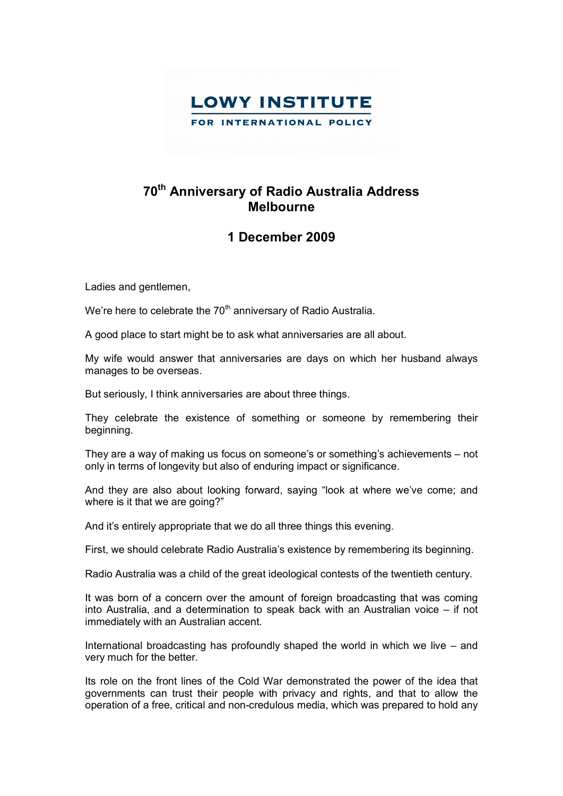

## **70th Anniversary of Radio Australia Address Melbourne**

## **1 December 2009**

Ladies and gentlemen,

We're here to celebrate the 70<sup>th</sup> anniversary of Radio Australia.

A good place to start might be to ask what anniversaries are all about.

My wife would answer that anniversaries are days on which her husband always manages to be overseas.

But seriously, I think anniversaries are about three things.

They celebrate the existence of something or someone by remembering their beginning.

They are a way of making us focus on someone's or something's achievements – not only in terms of longevity but also of enduring impact or significance.

And they are also about looking forward, saying "look at where we've come; and where is it that we are going?"

And it's entirely appropriate that we do all three things this evening.

First, we should celebrate Radio Australia's existence by remembering its beginning.

Radio Australia was a child of the great ideological contests of the twentieth century.

It was born of a concern over the amount of foreign broadcasting that was coming into Australia, and a determination to speak back with an Australian voice – if not immediately with an Australian accent.

International broadcasting has profoundly shaped the world in which we live – and very much for the better.

Its role on the front lines of the Cold War demonstrated the power of the idea that governments can trust their people with privacy and rights, and that to allow the operation of a free, critical and non-credulous media, which was prepared to hold any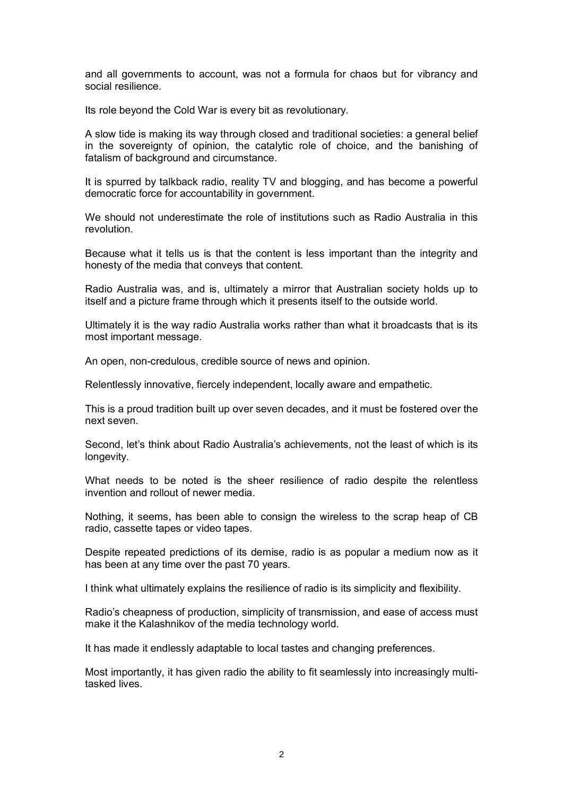and all governments to account, was not a formula for chaos but for vibrancy and social resilience.

Its role beyond the Cold War is every bit as revolutionary.

A slow tide is making its way through closed and traditional societies: a general belief in the sovereignty of opinion, the catalytic role of choice, and the banishing of fatalism of background and circumstance.

It is spurred by talkback radio, reality TV and blogging, and has become a powerful democratic force for accountability in government.

We should not underestimate the role of institutions such as Radio Australia in this revolution.

Because what it tells us is that the content is less important than the integrity and honesty of the media that conveys that content.

Radio Australia was, and is, ultimately a mirror that Australian society holds up to itself and a picture frame through which it presents itself to the outside world.

Ultimately it is the way radio Australia works rather than what it broadcasts that is its most important message.

An open, non-credulous, credible source of news and opinion.

Relentlessly innovative, fiercely independent, locally aware and empathetic.

This is a proud tradition built up over seven decades, and it must be fostered over the next seven.

Second, let's think about Radio Australia's achievements, not the least of which is its longevity.

What needs to be noted is the sheer resilience of radio despite the relentless invention and rollout of newer media.

Nothing, it seems, has been able to consign the wireless to the scrap heap of CB radio, cassette tapes or video tapes.

Despite repeated predictions of its demise, radio is as popular a medium now as it has been at any time over the past 70 years.

I think what ultimately explains the resilience of radio is its simplicity and flexibility.

Radio's cheapness of production, simplicity of transmission, and ease of access must make it the Kalashnikov of the media technology world.

It has made it endlessly adaptable to local tastes and changing preferences.

Most importantly, it has given radio the ability to fit seamlessly into increasingly multitasked lives.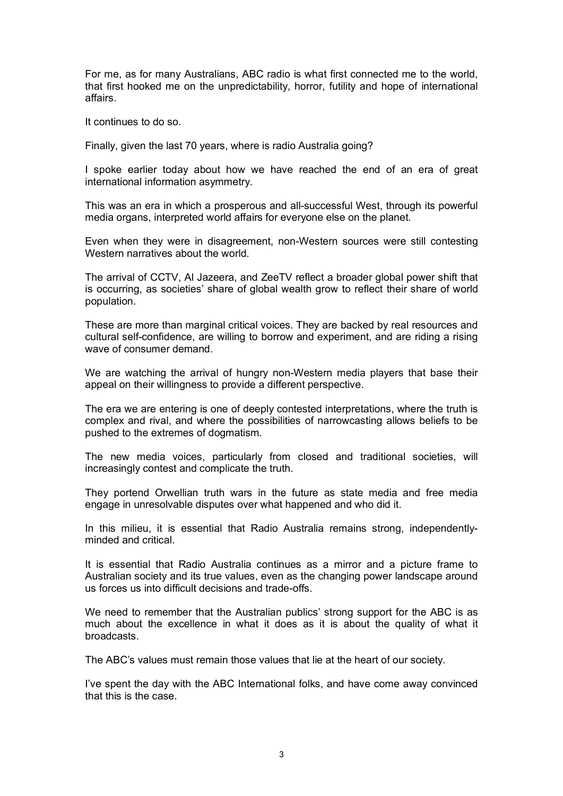For me, as for many Australians, ABC radio is what first connected me to the world, that first hooked me on the unpredictability, horror, futility and hope of international affairs.

It continues to do so.

Finally, given the last 70 years, where is radio Australia going?

I spoke earlier today about how we have reached the end of an era of great international information asymmetry.

This was an era in which a prosperous and all-successful West, through its powerful media organs, interpreted world affairs for everyone else on the planet.

Even when they were in disagreement, non-Western sources were still contesting Western narratives about the world.

The arrival of CCTV, Al Jazeera, and ZeeTV reflect a broader global power shift that is occurring, as societies' share of global wealth grow to reflect their share of world population.

These are more than marginal critical voices. They are backed by real resources and cultural self-confidence, are willing to borrow and experiment, and are riding a rising wave of consumer demand.

We are watching the arrival of hungry non-Western media players that base their appeal on their willingness to provide a different perspective.

The era we are entering is one of deeply contested interpretations, where the truth is complex and rival, and where the possibilities of narrowcasting allows beliefs to be pushed to the extremes of dogmatism.

The new media voices, particularly from closed and traditional societies, will increasingly contest and complicate the truth.

They portend Orwellian truth wars in the future as state media and free media engage in unresolvable disputes over what happened and who did it.

In this milieu, it is essential that Radio Australia remains strong, independentlyminded and critical.

It is essential that Radio Australia continues as a mirror and a picture frame to Australian society and its true values, even as the changing power landscape around us forces us into difficult decisions and trade-offs.

We need to remember that the Australian publics' strong support for the ABC is as much about the excellence in what it does as it is about the quality of what it broadcasts.

The ABC's values must remain those values that lie at the heart of our society.

I've spent the day with the ABC International folks, and have come away convinced that this is the case.